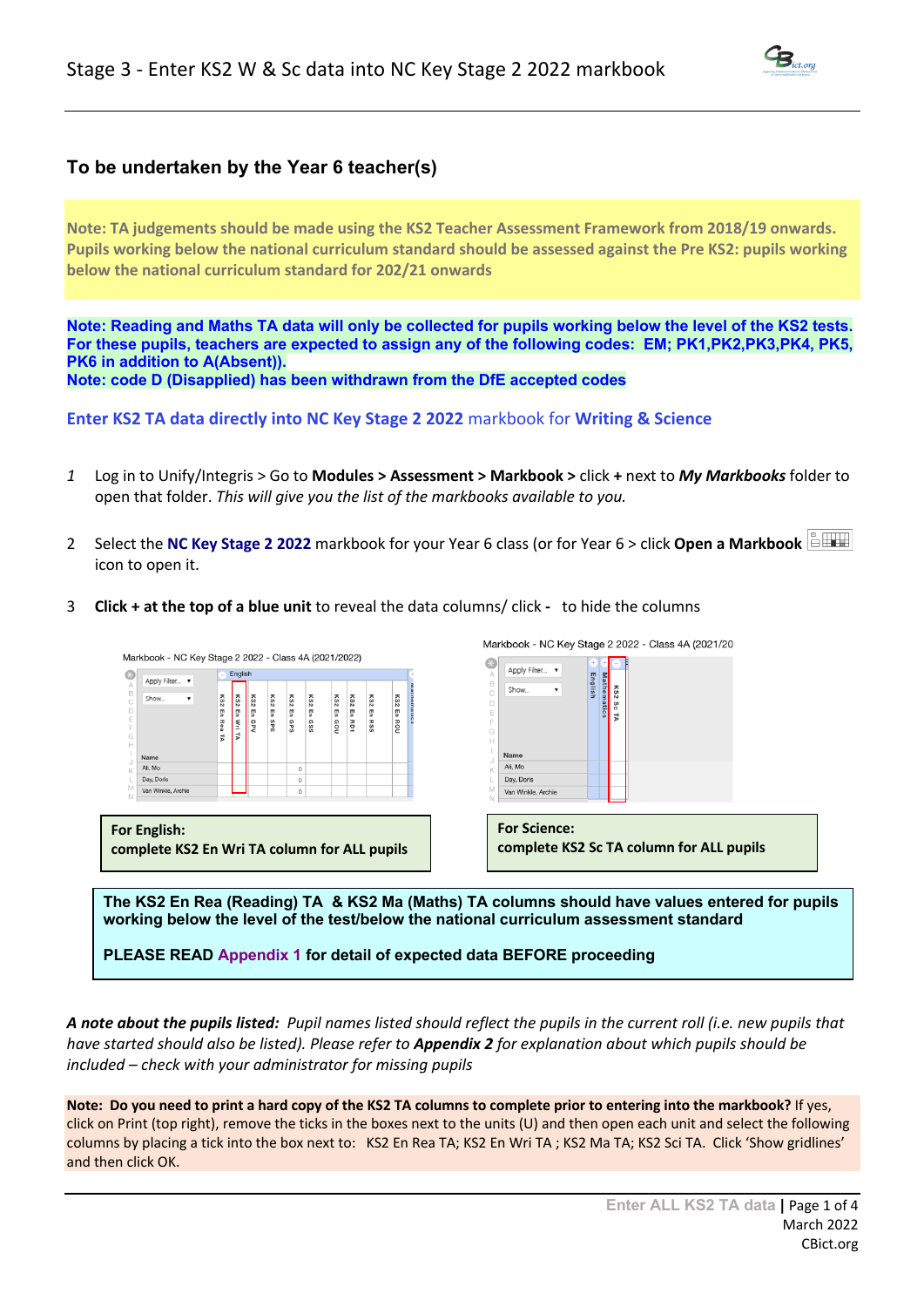# **To be undertaken by the Year 6 teacher(s)**

**Note: TA judgements should be made using the KS2 Teacher Assessment Framework from 2018/19 onwards. Pupils working below the national curriculum standard should be assessed against the Pre KS2: pupils working below the national curriculum standard for 202/21 onwards**

**Note: Reading and Maths TA data will only be collected for pupils working below the level of the KS2 tests. For these pupils, teachers are expected to assign any of the following codes: EM; PK1,PK2,PK3,PK4, PK5, PK6 in addition to A(Absent)). Note: code D (Disapplied) has been withdrawn from the DfE accepted codes**

**Enter KS2 TA data directly into NC Key Stage 2 2022** markbook for **Writing & Science** 

- *1* Log in to Unify/Integris > Go to **Modules > Assessment > Markbook >** click **+** next to *My Markbooks* folder to open that folder. *This will give you the list of the markbooks available to you.*
- 2 Select the **NC Key Stage 2 2022** markbook for your Year 6 class (or for Year 6 > click **Open a Markbook**  icon to open it.
- 3 **Click + at the top of a blue unit** to reveal the data columns/ click to hide the columns



**The KS2 En Rea (Reading) TA & KS2 Ma (Maths) TA columns should have values entered for pupils working below the level of the test/below the national curriculum assessment standard**

**PLEASE READ Appendix 1 for detail of expected data BEFORE proceeding**

*A note about the pupils listed: Pupil names listed should reflect the pupils in the current roll (i.e. new pupils that have started should also be listed). Please refer to Appendix 2 for explanation about which pupils should be included – check with your administrator for missing pupils* 

**Note: Do you need to print a hard copy of the KS2 TA columns to complete prior to entering into the markbook?** If yes, click on Print (top right), remove the ticks in the boxes next to the units (U) and then open each unit and select the following columns by placing a tick into the box next to: KS2 En Rea TA; KS2 En Wri TA ; KS2 Ma TA; KS2 Sci TA. Click 'Show gridlines' and then click OK.

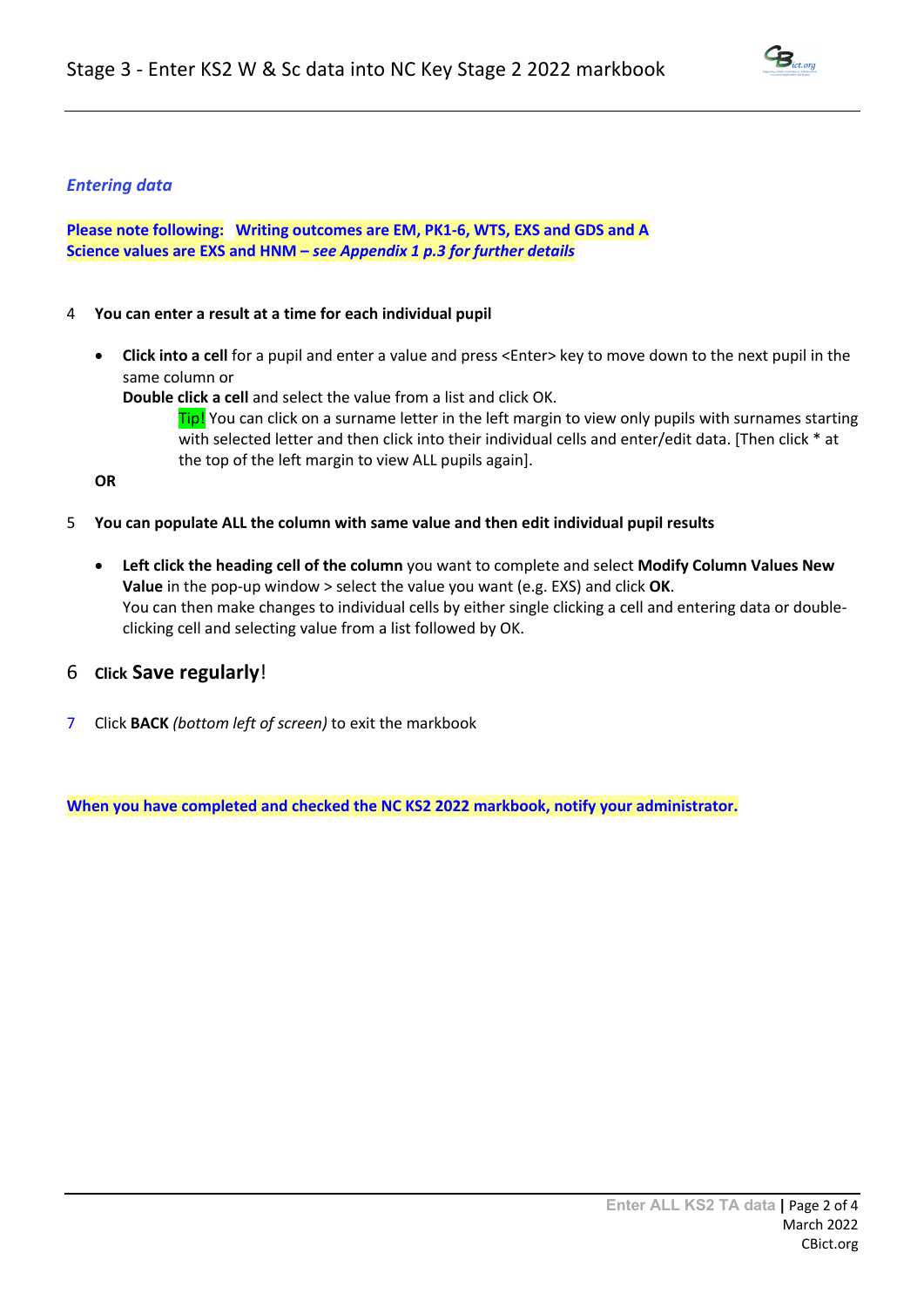

## *Entering data*

**Please note following: Writing outcomes are EM, PK1-6, WTS, EXS and GDS and A Science values are EXS and HNM –** *see Appendix 1 p.3 for further details*

## 4 **You can enter a result at a time for each individual pupil**

• **Click into a cell** for a pupil and enter a value and press <Enter> key to move down to the next pupil in the same column or

**Double click a cell** and select the value from a list and click OK.

**Tip!** You can click on a surname letter in the left margin to view only pupils with surnames starting with selected letter and then click into their individual cells and enter/edit data. [Then click \* at the top of the left margin to view ALL pupils again].

**OR**

- 5 **You can populate ALL the column with same value and then edit individual pupil results**
	- **Left click the heading cell of the column** you want to complete and select **Modify Column Values New Value** in the pop-up window > select the value you want (e.g. EXS) and click **OK**. You can then make changes to individual cells by either single clicking a cell and entering data or doubleclicking cell and selecting value from a list followed by OK.

# 6 **Click Save regularly**!

7 Click **BACK** *(bottom left of screen)* to exit the markbook

**When you have completed and checked the NC KS2 2022 markbook, notify your administrator.**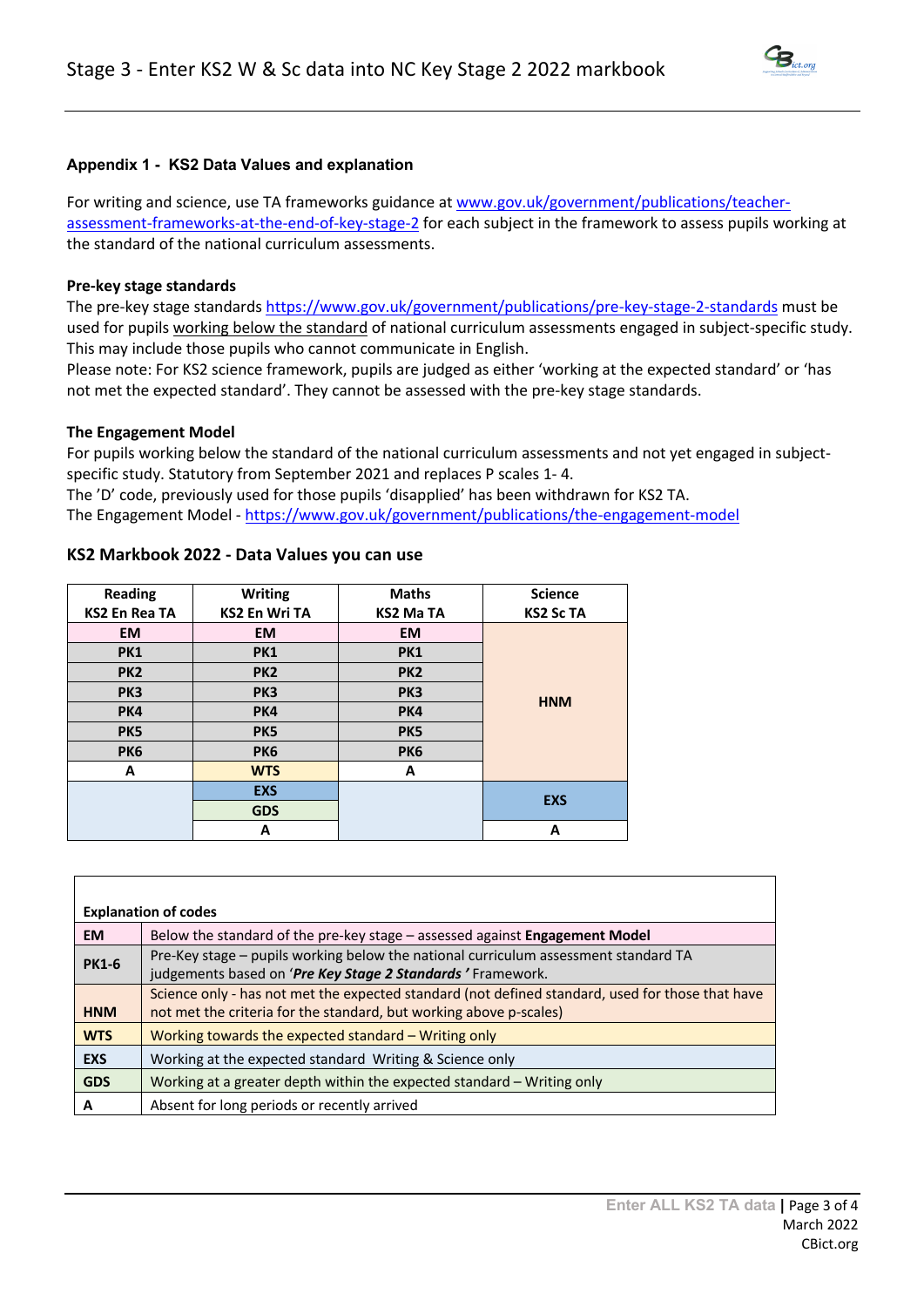

## **Appendix 1 - KS2 Data Values and explanation**

For writing and science, use TA frameworks guidance at www.gov.uk/government/publications/teacherassessment-frameworks-at-the-end-of-key-stage-2 for each subject in the framework to assess pupils working at the standard of the national curriculum assessments.

### **Pre-key stage standards**

The pre-key stage standards https://www.gov.uk/government/publications/pre-key-stage-2-standards must be used for pupils working below the standard of national curriculum assessments engaged in subject-specific study. This may include those pupils who cannot communicate in English.

Please note: For KS2 science framework, pupils are judged as either 'working at the expected standard' or 'has not met the expected standard'. They cannot be assessed with the pre-key stage standards.

#### **The Engagement Model**

For pupils working below the standard of the national curriculum assessments and not yet engaged in subjectspecific study. Statutory from September 2021 and replaces P scales 1- 4. The 'D' code, previously used for those pupils 'disapplied' has been withdrawn for KS2 TA.

The Engagement Model - https://www.gov.uk/government/publications/the-engagement-model

| <b>Reading</b>       | <b>Writing</b>       | <b>Maths</b>    | <b>Science</b>   |
|----------------------|----------------------|-----------------|------------------|
| <b>KS2 En Rea TA</b> | <b>KS2 En Wri TA</b> | KS2 Ma TA       | <b>KS2 Sc TA</b> |
| <b>EM</b>            | <b>EM</b>            | <b>EM</b>       |                  |
| <b>PK1</b>           | <b>PK1</b>           | <b>PK1</b>      |                  |
| PK <sub>2</sub>      | PK <sub>2</sub>      | PK <sub>2</sub> |                  |
| PK <sub>3</sub>      | PK <sub>3</sub>      | PK <sub>3</sub> | <b>HNM</b>       |
| PK4                  | PK4                  | PK4             |                  |
| PK <sub>5</sub>      | PK5                  | PK <sub>5</sub> |                  |
| <b>PK6</b>           | <b>PK6</b>           | PK <sub>6</sub> |                  |
| A                    | <b>WTS</b>           | A               |                  |
|                      | <b>EXS</b>           |                 | <b>EXS</b>       |
|                      | <b>GDS</b>           |                 |                  |
|                      | A                    |                 | А                |

### **KS2 Markbook 2022 - Data Values you can use**

| <b>Explanation of codes</b> |                                                                                                  |  |
|-----------------------------|--------------------------------------------------------------------------------------------------|--|
| <b>EM</b>                   | Below the standard of the pre-key stage - assessed against Engagement Model                      |  |
| <b>PK1-6</b>                | Pre-Key stage - pupils working below the national curriculum assessment standard TA              |  |
|                             | judgements based on 'Pre Key Stage 2 Standards' Framework.                                       |  |
|                             | Science only - has not met the expected standard (not defined standard, used for those that have |  |
| <b>HNM</b>                  | not met the criteria for the standard, but working above p-scales)                               |  |
| <b>WTS</b>                  | Working towards the expected standard $-$ Writing only                                           |  |
| <b>EXS</b>                  | Working at the expected standard Writing & Science only                                          |  |
| <b>GDS</b>                  | Working at a greater depth within the expected standard - Writing only                           |  |
| А                           | Absent for long periods or recently arrived                                                      |  |